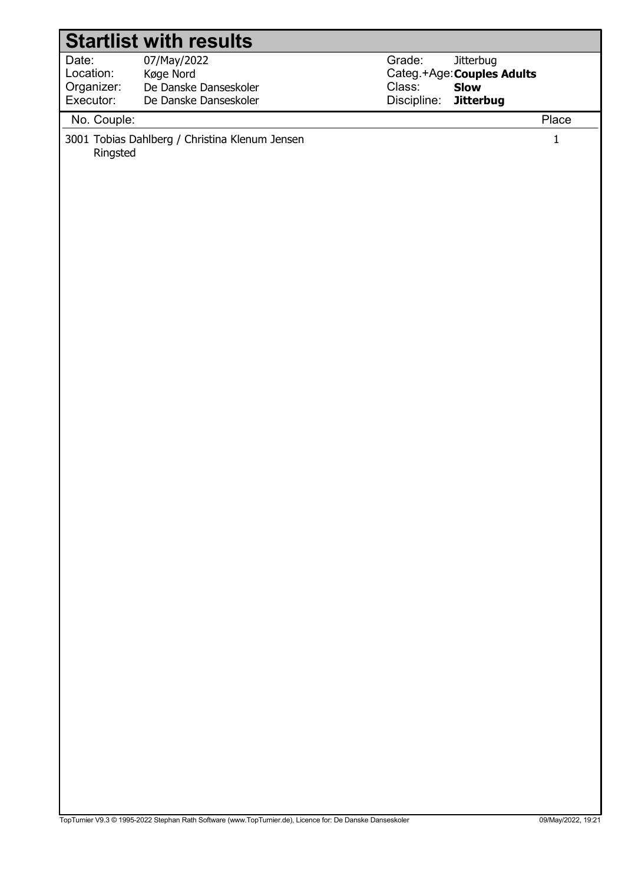| <b>Startlist with results</b>                 |                                                                            |                                 |                                                        |                      |
|-----------------------------------------------|----------------------------------------------------------------------------|---------------------------------|--------------------------------------------------------|----------------------|
| Date:<br>Location:<br>Organizer:<br>Executor: | 07/May/2022<br>Køge Nord<br>De Danske Danseskoler<br>De Danske Danseskoler | Grade:<br>Discipline: Jitterbug | Jitterbug<br>Categ.+Age: Couples Adults<br>Class: Slow |                      |
|                                               |                                                                            |                                 |                                                        |                      |
| No. Couple:<br>Ringsted                       | 3001 Tobias Dahlberg / Christina Klenum Jensen                             |                                 |                                                        | Place<br>$\mathbf 1$ |
|                                               |                                                                            |                                 |                                                        |                      |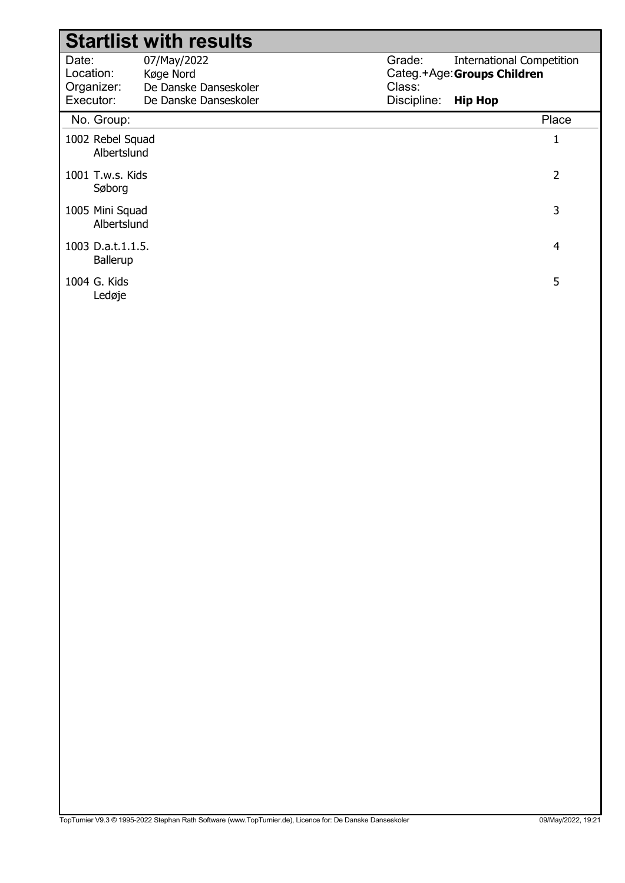|                                  | <b>Startlist with results</b>                     |                  |                                                                 |
|----------------------------------|---------------------------------------------------|------------------|-----------------------------------------------------------------|
| Date:<br>Location:<br>Organizer: | 07/May/2022<br>Køge Nord<br>De Danske Danseskoler | Grade:<br>Class: | <b>International Competition</b><br>Categ.+Age: Groups Children |
| Executor:                        | De Danske Danseskoler                             | Discipline:      | <b>Hip Hop</b>                                                  |
| No. Group:                       |                                                   |                  | Place                                                           |
| 1002 Rebel Squad<br>Albertslund  |                                                   |                  | 1                                                               |
| 1001 T.w.s. Kids<br>Søborg       |                                                   |                  | 2                                                               |
| 1005 Mini Squad<br>Albertslund   |                                                   |                  | 3                                                               |
| 1003 D.a.t.1.1.5.<br>Ballerup    |                                                   |                  | 4                                                               |
| 1004 G. Kids<br>Ledøje           |                                                   |                  | 5                                                               |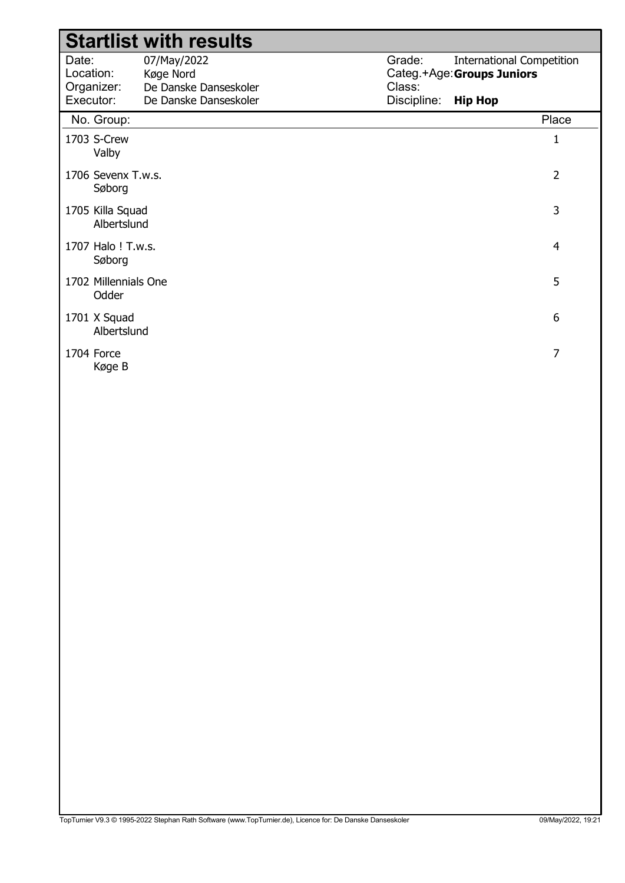|                                               | <b>Startlist with results</b>                                              |                                 |                                                                                  |
|-----------------------------------------------|----------------------------------------------------------------------------|---------------------------------|----------------------------------------------------------------------------------|
| Date:<br>Location:<br>Organizer:<br>Executor: | 07/May/2022<br>Køge Nord<br>De Danske Danseskoler<br>De Danske Danseskoler | Grade:<br>Class:<br>Discipline: | <b>International Competition</b><br>Categ.+Age: Groups Juniors<br><b>Hip Hop</b> |
| No. Group:                                    |                                                                            |                                 | Place                                                                            |
| 1703 S-Crew<br>Valby                          |                                                                            |                                 | 1                                                                                |
| 1706 Sevenx T.w.s.<br>Søborg                  |                                                                            |                                 | $\overline{2}$                                                                   |
| 1705 Killa Squad<br>Albertslund               |                                                                            |                                 | 3                                                                                |
| 1707 Halo ! T.w.s.<br>Søborg                  |                                                                            |                                 | 4                                                                                |
| 1702 Millennials One<br>Odder                 |                                                                            |                                 | 5                                                                                |
| 1701 X Squad<br>Albertslund                   |                                                                            |                                 | 6                                                                                |
| 1704 Force<br>Køge B                          |                                                                            |                                 | 7                                                                                |
|                                               |                                                                            |                                 |                                                                                  |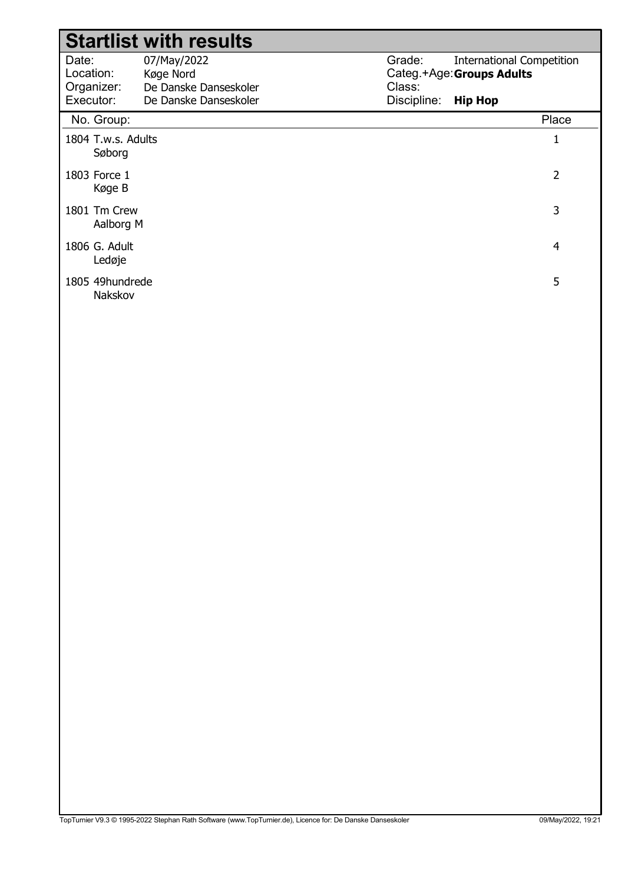|                              | <b>Startlist with results</b> |             |                                  |
|------------------------------|-------------------------------|-------------|----------------------------------|
| Date:                        | 07/May/2022                   | Grade:      | <b>International Competition</b> |
| Location:                    | Køge Nord                     |             | Categ.+Age: Groups Adults        |
| Organizer:                   | De Danske Danseskoler         | Class:      |                                  |
| Executor:                    | De Danske Danseskoler         | Discipline: | <b>Hip Hop</b>                   |
| No. Group:                   |                               |             | Place                            |
| 1804 T.w.s. Adults<br>Søborg |                               |             | 1                                |
| 1803 Force 1<br>Køge B       |                               |             | $\overline{2}$                   |
| 1801 Tm Crew<br>Aalborg M    |                               |             | 3                                |
| 1806 G. Adult<br>Ledøje      |                               |             | 4                                |
| 1805 49hundrede<br>Nakskov   |                               |             | 5                                |
|                              |                               |             |                                  |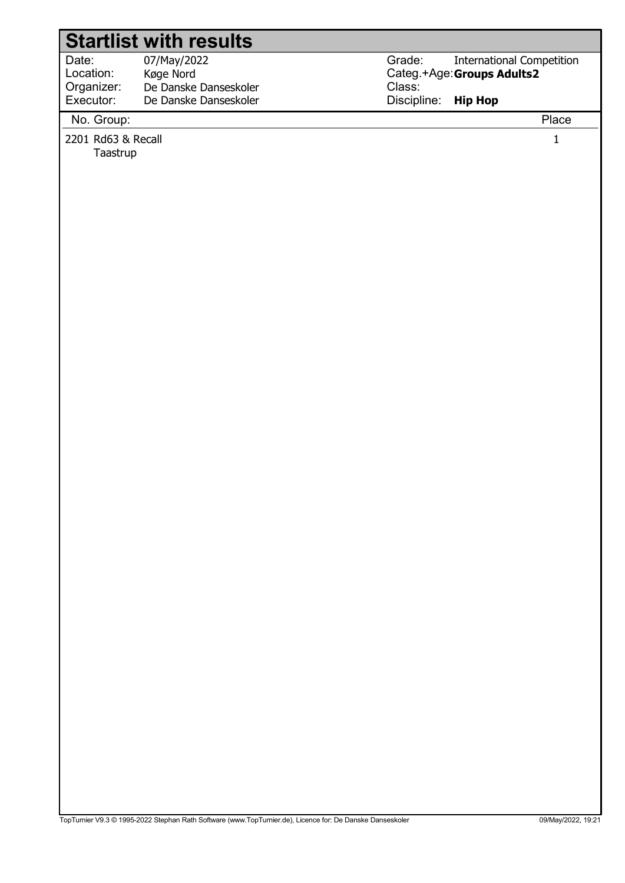## Startlist with results

Date: Location: 07/May/2022 Køge Nord Organizer: Executor: De Danske Danseskoler De Danske Danseskoler Grade: Categ.+Age: Groups Adults2 Class: Discipline: International Competition Hip Hop

No. Group: Place

2201 Rd63 & Recall 1

Taastrup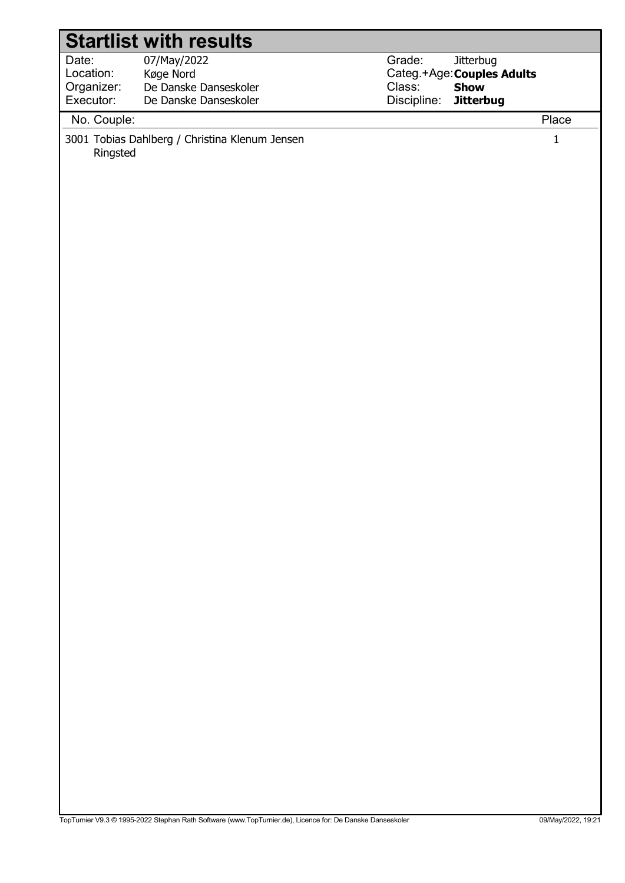| <b>Startlist with results</b>        |                                                                         |                       |                                                        |                      |
|--------------------------------------|-------------------------------------------------------------------------|-----------------------|--------------------------------------------------------|----------------------|
| Date:<br>Location:<br>Organizer:     | 07/May/2022<br>Køge Nord<br>De Danske Danseskoler                       | Grade:                | Jitterbug<br>Categ.+Age: Couples Adults<br>Class: Show |                      |
|                                      |                                                                         |                       |                                                        |                      |
| Executor:<br>No. Couple:<br>Ringsted | De Danske Danseskoler<br>3001 Tobias Dahlberg / Christina Klenum Jensen | Discipline: Jitterbug |                                                        | Place<br>$\mathbf 1$ |
|                                      |                                                                         |                       |                                                        |                      |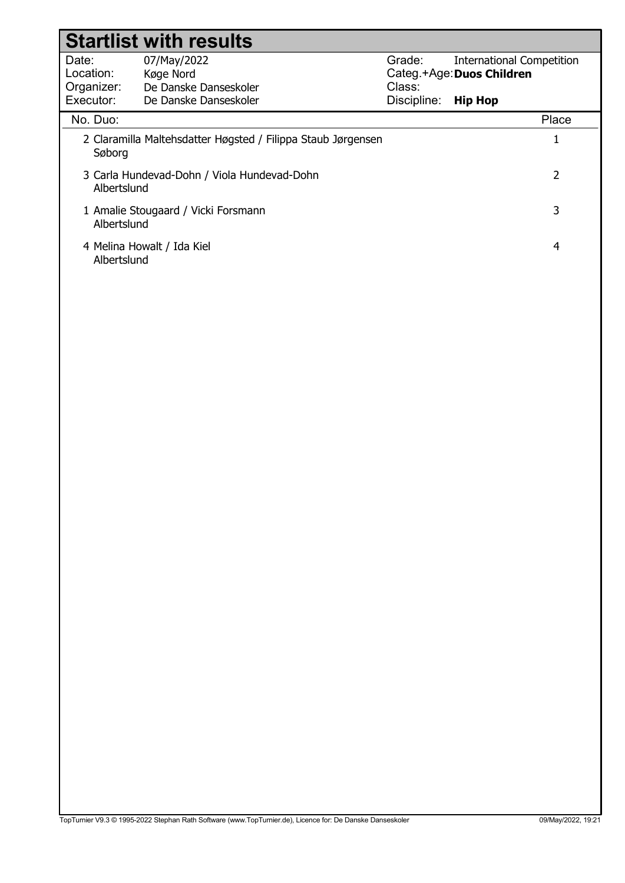|             | <b>Startlist with results</b>                                |             |                                  |
|-------------|--------------------------------------------------------------|-------------|----------------------------------|
| Date:       | 07/May/2022                                                  | Grade:      | <b>International Competition</b> |
| Location:   | Køge Nord                                                    |             | Categ.+Age: Duos Children        |
| Organizer:  | De Danske Danseskoler                                        | Class:      |                                  |
| Executor:   | De Danske Danseskoler                                        | Discipline: | <b>Hip Hop</b>                   |
| No. Duo:    |                                                              |             | Place                            |
| Søborg      | 2 Claramilla Maltehsdatter Høgsted / Filippa Staub Jørgensen |             | 1                                |
| Albertslund | 3 Carla Hundevad-Dohn / Viola Hundevad-Dohn                  |             | 2                                |
| Albertslund | 1 Amalie Stougaard / Vicki Forsmann                          |             | 3                                |
| Albertslund | 4 Melina Howalt / Ida Kiel                                   |             | 4                                |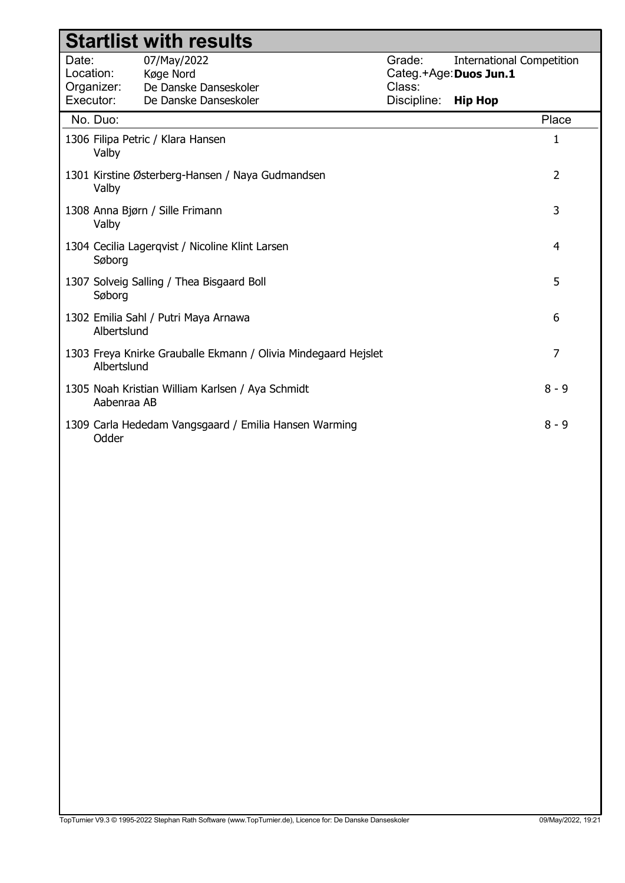|                    |             | <b>Startlist with results</b>                                  |                                            |                                  |                |
|--------------------|-------------|----------------------------------------------------------------|--------------------------------------------|----------------------------------|----------------|
| Date:<br>Location: | Organizer:  | 07/May/2022<br>Køge Nord<br>De Danske Danseskoler              | Grade:<br>Categ.+Age: Duos Jun.1<br>Class: | <b>International Competition</b> |                |
| Executor:          |             | De Danske Danseskoler                                          | Discipline:                                | <b>Hip Hop</b>                   |                |
|                    | No. Duo:    |                                                                |                                            |                                  | Place          |
|                    | Valby       | 1306 Filipa Petric / Klara Hansen                              |                                            |                                  | 1              |
|                    | Valby       | 1301 Kirstine Østerberg-Hansen / Naya Gudmandsen               |                                            |                                  | $\overline{2}$ |
|                    | Valby       | 1308 Anna Bjørn / Sille Frimann                                |                                            |                                  | 3              |
|                    | Søborg      | 1304 Cecilia Lagerqvist / Nicoline Klint Larsen                |                                            |                                  | $\overline{4}$ |
|                    | Søborg      | 1307 Solveig Salling / Thea Bisgaard Boll                      |                                            |                                  | 5              |
|                    | Albertslund | 1302 Emilia Sahl / Putri Maya Arnawa                           |                                            |                                  | 6              |
|                    | Albertslund | 1303 Freya Knirke Grauballe Ekmann / Olivia Mindegaard Hejslet |                                            |                                  | $\overline{7}$ |
|                    | Aabenraa AB | 1305 Noah Kristian William Karlsen / Aya Schmidt               |                                            |                                  | $8 - 9$        |
|                    | Odder       | 1309 Carla Hededam Vangsgaard / Emilia Hansen Warming          |                                            |                                  | $8 - 9$        |
|                    |             |                                                                |                                            |                                  |                |
|                    |             |                                                                |                                            |                                  |                |
|                    |             |                                                                |                                            |                                  |                |
|                    |             |                                                                |                                            |                                  |                |
|                    |             |                                                                |                                            |                                  |                |
|                    |             |                                                                |                                            |                                  |                |
|                    |             |                                                                |                                            |                                  |                |
|                    |             |                                                                |                                            |                                  |                |
|                    |             |                                                                |                                            |                                  |                |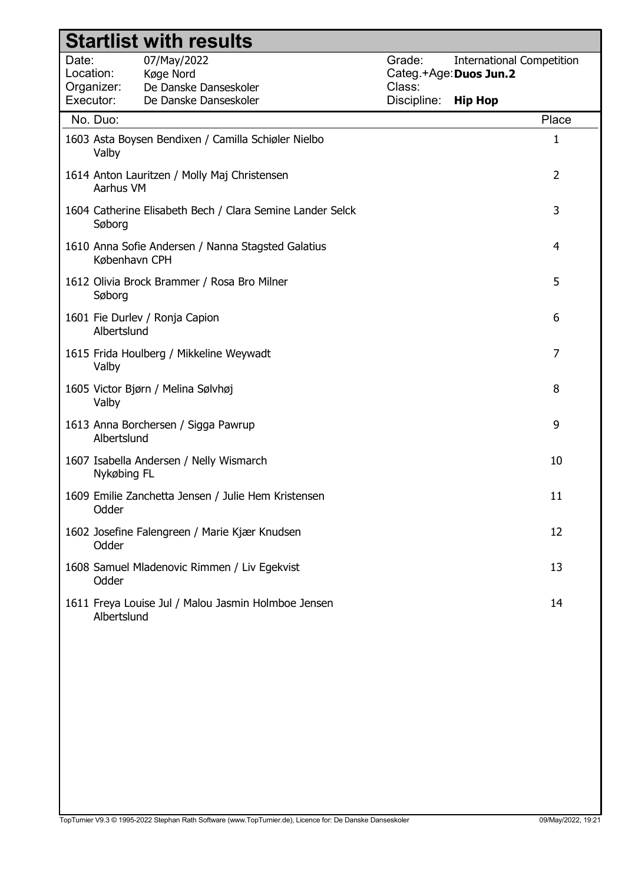|                    |               | <b>Startlist with results</b>                       |                                                           |                  |                                                            |                |
|--------------------|---------------|-----------------------------------------------------|-----------------------------------------------------------|------------------|------------------------------------------------------------|----------------|
| Date:<br>Location: | Organizer:    | 07/May/2022<br>Køge Nord<br>De Danske Danseskoler   |                                                           | Grade:<br>Class: | <b>International Competition</b><br>Categ.+Age: Duos Jun.2 |                |
|                    | Executor:     | De Danske Danseskoler                               |                                                           | Discipline:      | <b>Hip Hop</b>                                             |                |
|                    | No. Duo:      |                                                     |                                                           |                  |                                                            | Place          |
|                    | Valby         | 1603 Asta Boysen Bendixen / Camilla Schiøler Nielbo |                                                           |                  |                                                            | 1              |
|                    | Aarhus VM     | 1614 Anton Lauritzen / Molly Maj Christensen        |                                                           |                  |                                                            | $\overline{2}$ |
|                    | Søborg        |                                                     | 1604 Catherine Elisabeth Bech / Clara Semine Lander Selck |                  |                                                            | 3              |
|                    | København CPH | 1610 Anna Sofie Andersen / Nanna Stagsted Galatius  |                                                           |                  |                                                            | 4              |
|                    | Søborg        | 1612 Olivia Brock Brammer / Rosa Bro Milner         |                                                           |                  |                                                            | 5              |
|                    | Albertslund   | 1601 Fie Durlev / Ronja Capion                      |                                                           |                  |                                                            | 6              |
|                    | Valby         | 1615 Frida Houlberg / Mikkeline Weywadt             |                                                           |                  |                                                            | 7              |
|                    | Valby         | 1605 Victor Bjørn / Melina Sølvhøj                  |                                                           |                  |                                                            | 8              |
|                    | Albertslund   | 1613 Anna Borchersen / Sigga Pawrup                 |                                                           |                  |                                                            | 9              |
|                    | Nykøbing FL   | 1607 Isabella Andersen / Nelly Wismarch             |                                                           |                  |                                                            | 10             |
|                    | Odder         | 1609 Emilie Zanchetta Jensen / Julie Hem Kristensen |                                                           |                  |                                                            | 11             |
|                    | Odder         | 1602 Josefine Falengreen / Marie Kjær Knudsen       |                                                           |                  |                                                            | 12             |
|                    | Odder         | 1608 Samuel Mladenovic Rimmen / Liv Egekvist        |                                                           |                  |                                                            | 13             |
|                    | Albertslund   | 1611 Freya Louise Jul / Malou Jasmin Holmboe Jensen |                                                           |                  |                                                            | 14             |
|                    |               |                                                     |                                                           |                  |                                                            |                |
|                    |               |                                                     |                                                           |                  |                                                            |                |
|                    |               |                                                     |                                                           |                  |                                                            |                |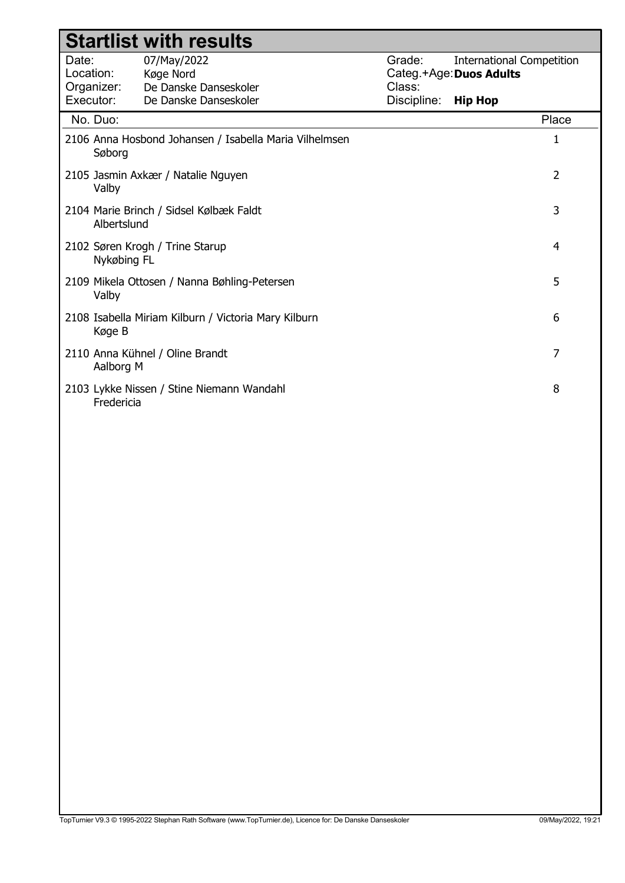|                                  | <b>Startlist with results</b>                          |                                             |                                  |
|----------------------------------|--------------------------------------------------------|---------------------------------------------|----------------------------------|
| Date:<br>Location:<br>Organizer: | 07/May/2022<br>Køge Nord<br>De Danske Danseskoler      | Grade:<br>Categ.+Age: Duos Adults<br>Class: | <b>International Competition</b> |
| Executor:                        | De Danske Danseskoler                                  | Discipline:                                 | <b>Hip Hop</b>                   |
| No. Duo:                         |                                                        |                                             | Place                            |
| Søborg                           | 2106 Anna Hosbond Johansen / Isabella Maria Vilhelmsen |                                             | $\mathbf{1}$                     |
| Valby                            | 2105 Jasmin Axkær / Natalie Nguyen                     |                                             | $\overline{2}$                   |
| Albertslund                      | 2104 Marie Brinch / Sidsel Kølbæk Faldt                |                                             | 3                                |
| Nykøbing FL                      | 2102 Søren Krogh / Trine Starup                        |                                             | $\overline{4}$                   |
| Valby                            | 2109 Mikela Ottosen / Nanna Bøhling-Petersen           |                                             | 5                                |
| Køge B                           | 2108 Isabella Miriam Kilburn / Victoria Mary Kilburn   |                                             | 6                                |
| Aalborg M                        | 2110 Anna Kühnel / Oline Brandt                        |                                             | $\overline{7}$                   |
| Fredericia                       | 2103 Lykke Nissen / Stine Niemann Wandahl              |                                             | 8                                |
|                                  |                                                        |                                             |                                  |
|                                  |                                                        |                                             |                                  |
|                                  |                                                        |                                             |                                  |
|                                  |                                                        |                                             |                                  |
|                                  |                                                        |                                             |                                  |
|                                  |                                                        |                                             |                                  |
|                                  |                                                        |                                             |                                  |
|                                  |                                                        |                                             |                                  |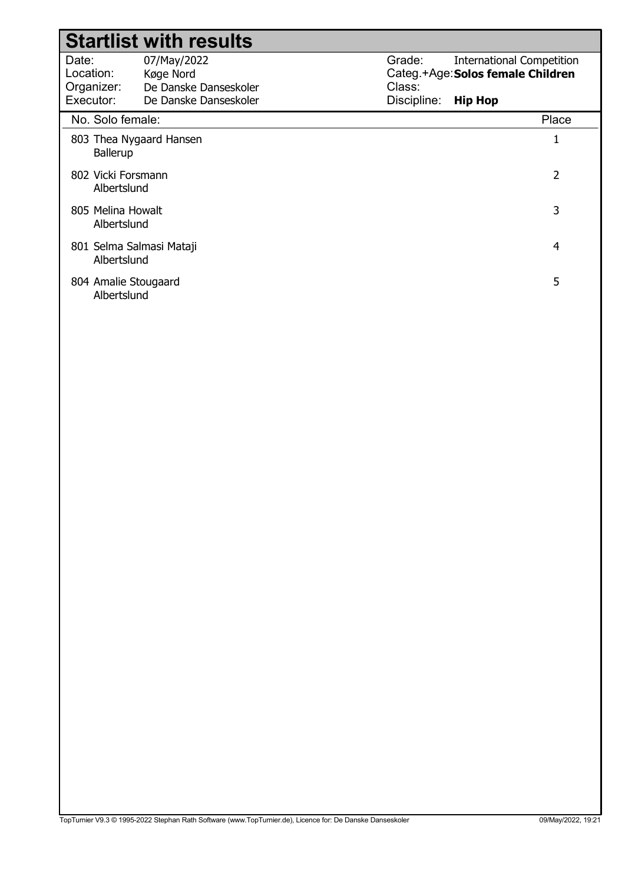|                                               | <b>Startlist with results</b>                                              |                                 |                                                                                         |
|-----------------------------------------------|----------------------------------------------------------------------------|---------------------------------|-----------------------------------------------------------------------------------------|
| Date:<br>Location:<br>Organizer:<br>Executor: | 07/May/2022<br>Køge Nord<br>De Danske Danseskoler<br>De Danske Danseskoler | Grade:<br>Class:<br>Discipline: | <b>International Competition</b><br>Categ.+Age: Solos female Children<br><b>Hip Hop</b> |
| No. Solo female:                              |                                                                            |                                 | Place                                                                                   |
| 803 Thea Nygaard Hansen<br><b>Ballerup</b>    |                                                                            |                                 |                                                                                         |
| 802 Vicki Forsmann<br>Albertslund             |                                                                            |                                 | 2                                                                                       |
| 805 Melina Howalt<br>Albertslund              |                                                                            |                                 | 3                                                                                       |
| 801 Selma Salmasi Mataji<br>Albertslund       |                                                                            |                                 | 4                                                                                       |
| 804 Amalie Stougaard<br>Albertslund           |                                                                            |                                 | 5                                                                                       |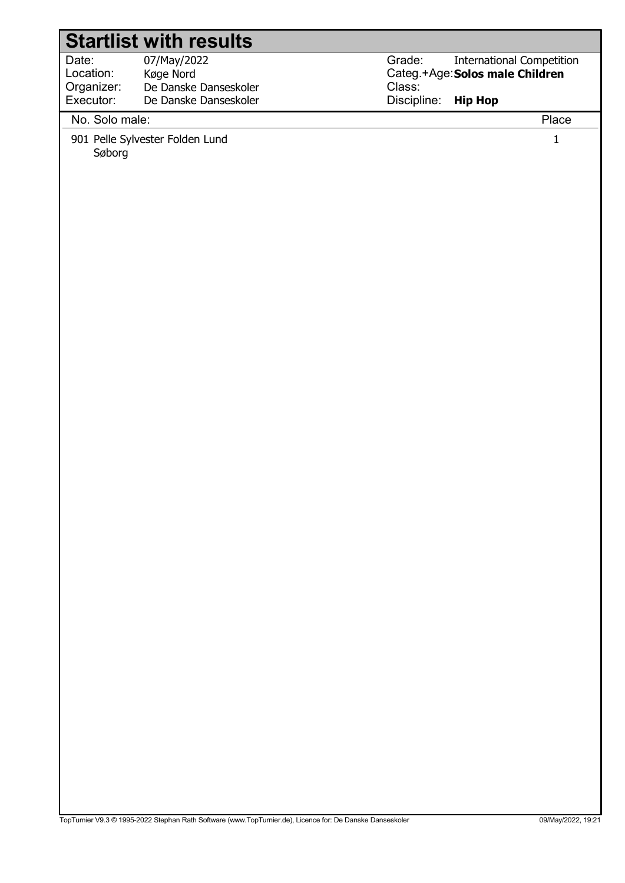# Startlist with results

| Date:      | 07/May/2022           |
|------------|-----------------------|
| Location:  | Køge Nord             |
| Organizer: | De Danske Danseskoler |
| Executor:  | De Danske Danseskoler |
|            |                       |

Grade: Categ.+Age: Solos male Children Class: Discipline: International Competition Hip Hop

## No. Solo male: Place

901 Pelle Sylvester Folden Lund 1 Søborg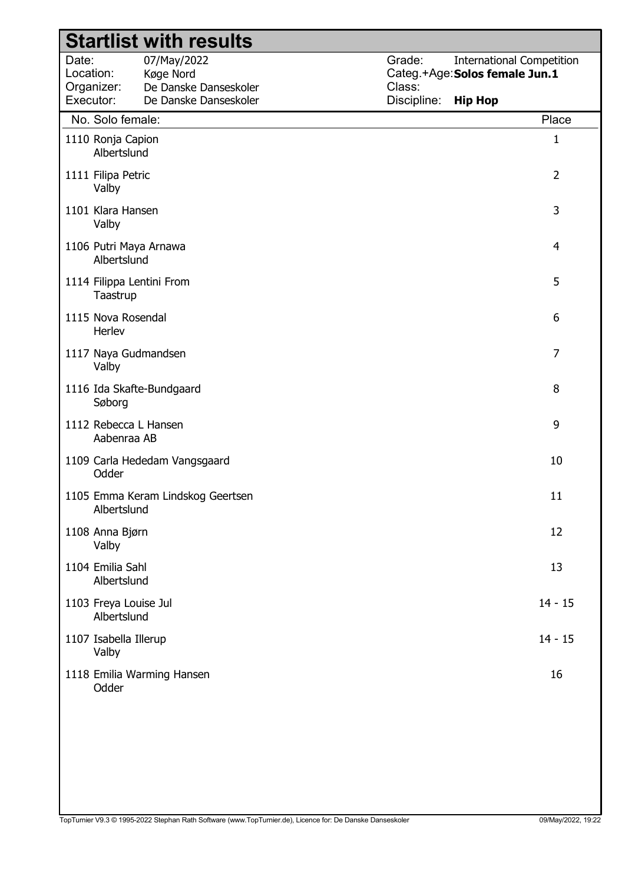|                                  |                                      | <b>Startlist with results</b>                     |                  |                                                                    |                |
|----------------------------------|--------------------------------------|---------------------------------------------------|------------------|--------------------------------------------------------------------|----------------|
| Date:<br>Location:<br>Organizer: |                                      | 07/May/2022<br>Køge Nord<br>De Danske Danseskoler | Grade:<br>Class: | <b>International Competition</b><br>Categ.+Age: Solos female Jun.1 |                |
| Executor:                        |                                      | De Danske Danseskoler                             | Discipline:      | <b>Hip Hop</b>                                                     |                |
|                                  | No. Solo female:                     |                                                   |                  |                                                                    | Place          |
|                                  | 1110 Ronja Capion<br>Albertslund     |                                                   |                  |                                                                    | 1              |
|                                  | 1111 Filipa Petric<br>Valby          |                                                   |                  |                                                                    | $\overline{2}$ |
|                                  | 1101 Klara Hansen<br>Valby           |                                                   |                  |                                                                    | 3              |
|                                  | Albertslund                          | 1106 Putri Maya Arnawa                            |                  |                                                                    | 4              |
|                                  | Taastrup                             | 1114 Filippa Lentini From                         |                  |                                                                    | 5              |
|                                  | 1115 Nova Rosendal<br>Herlev         |                                                   |                  |                                                                    | 6              |
|                                  | Valby                                | 1117 Naya Gudmandsen                              |                  |                                                                    | 7              |
|                                  | Søborg                               | 1116 Ida Skafte-Bundgaard                         |                  |                                                                    | 8              |
|                                  | Aabenraa AB                          | 1112 Rebecca L Hansen                             |                  |                                                                    | 9              |
|                                  | Odder                                | 1109 Carla Hededam Vangsgaard                     |                  |                                                                    | 10             |
|                                  | Albertslund                          | 1105 Emma Keram Lindskog Geertsen                 |                  |                                                                    | 11             |
|                                  | 1108 Anna Bjørn<br>Valby             |                                                   |                  |                                                                    | 12             |
|                                  | 1104 Emilia Sahl<br>Albertslund      |                                                   |                  |                                                                    | 13             |
|                                  | 1103 Freya Louise Jul<br>Albertslund |                                                   |                  |                                                                    | $14 - 15$      |
|                                  | 1107 Isabella Illerup<br>Valby       |                                                   |                  |                                                                    | $14 - 15$      |
|                                  | Odder                                | 1118 Emilia Warming Hansen                        |                  |                                                                    | 16             |
|                                  |                                      |                                                   |                  |                                                                    |                |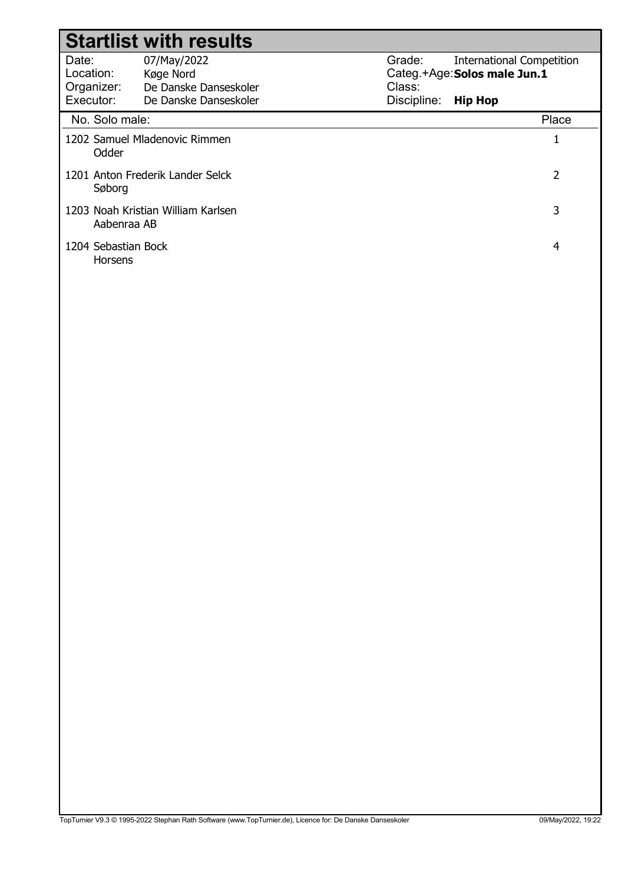|                                               | <b>Startlist with results</b>                                              |                                 |                                                                                    |
|-----------------------------------------------|----------------------------------------------------------------------------|---------------------------------|------------------------------------------------------------------------------------|
| Date:<br>Location:<br>Organizer:<br>Executor: | 07/May/2022<br>Køge Nord<br>De Danske Danseskoler<br>De Danske Danseskoler | Grade:<br>Class:<br>Discipline: | <b>International Competition</b><br>Categ.+Age: Solos male Jun.1<br><b>Hip Hop</b> |
| No. Solo male:                                |                                                                            |                                 | Place                                                                              |
| Odder                                         | 1202 Samuel Mladenovic Rimmen                                              |                                 |                                                                                    |
| Søborg                                        | 1201 Anton Frederik Lander Selck                                           |                                 | 2                                                                                  |
| Aabenraa AB                                   | 1203 Noah Kristian William Karlsen                                         |                                 | 3                                                                                  |
| 1204 Sebastian Bock<br><b>Horsens</b>         |                                                                            |                                 | 4                                                                                  |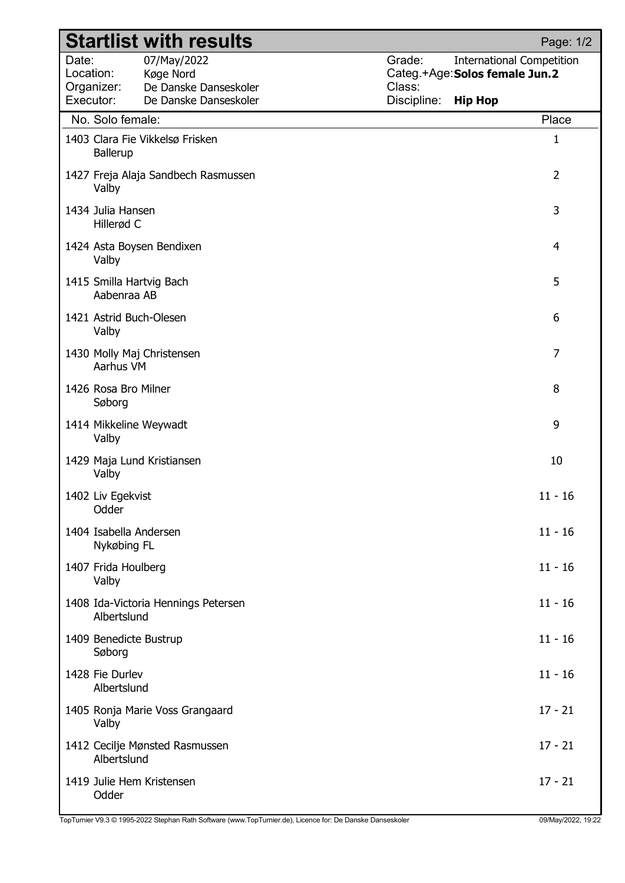|                                               | <b>Startlist with results</b>                                              | Page: 1/2                                                                                                               |
|-----------------------------------------------|----------------------------------------------------------------------------|-------------------------------------------------------------------------------------------------------------------------|
| Date:<br>Location:<br>Organizer:<br>Executor: | 07/May/2022<br>Køge Nord<br>De Danske Danseskoler<br>De Danske Danseskoler | Grade:<br><b>International Competition</b><br>Categ.+Age: Solos female Jun.2<br>Class:<br>Discipline:<br><b>Hip Hop</b> |
|                                               | No. Solo female:                                                           | Place                                                                                                                   |
|                                               | 1403 Clara Fie Vikkelsø Frisken<br><b>Ballerup</b>                         | $\mathbf{1}$                                                                                                            |
| Valby                                         | 1427 Freja Alaja Sandbech Rasmussen                                        | $\overline{2}$                                                                                                          |
|                                               | 1434 Julia Hansen<br>Hillerød C                                            | 3                                                                                                                       |
| Valby                                         | 1424 Asta Boysen Bendixen                                                  | 4                                                                                                                       |
|                                               | 1415 Smilla Hartvig Bach<br>Aabenraa AB                                    | 5                                                                                                                       |
| Valby                                         | 1421 Astrid Buch-Olesen                                                    | 6                                                                                                                       |
|                                               | 1430 Molly Maj Christensen<br>Aarhus VM                                    | $\overline{7}$                                                                                                          |
|                                               | 1426 Rosa Bro Milner<br>Søborg                                             | 8                                                                                                                       |
| Valby                                         | 1414 Mikkeline Weywadt                                                     | 9                                                                                                                       |
| Valby                                         | 1429 Maja Lund Kristiansen                                                 | 10                                                                                                                      |
| 1402 Liv Egekvist                             | Odder                                                                      | $11 - 16$                                                                                                               |
|                                               | 1404 Isabella Andersen<br>Nykøbing FL                                      | $11 - 16$                                                                                                               |
| Valby                                         | 1407 Frida Houlberg                                                        | $11 - 16$                                                                                                               |
|                                               | 1408 Ida-Victoria Hennings Petersen<br>Albertslund                         | $11 - 16$                                                                                                               |
|                                               | 1409 Benedicte Bustrup<br>Søborg                                           | $11 - 16$                                                                                                               |
| 1428 Fie Durlev                               | Albertslund                                                                | $11 - 16$                                                                                                               |
| Valby                                         | 1405 Ronja Marie Voss Grangaard                                            | $17 - 21$                                                                                                               |
|                                               | 1412 Cecilje Mønsted Rasmussen<br>Albertslund                              | $17 - 21$                                                                                                               |
|                                               | 1419 Julie Hem Kristensen<br>Odder                                         | $17 - 21$                                                                                                               |

TopTurnier V9.3 © 1995-2022 Stephan Rath Software (www.TopTurnier.de), Licence for: De Danske Danseskoler 09/May/2022, 19:22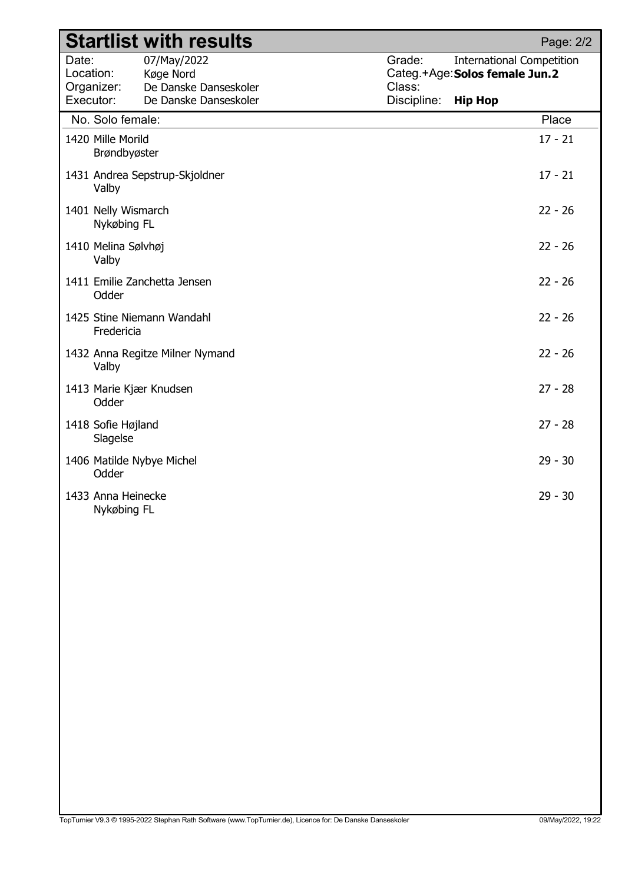|                    |                                    | <b>Startlist with results</b>                     |                  |                                                                    | Page: 2/2 |
|--------------------|------------------------------------|---------------------------------------------------|------------------|--------------------------------------------------------------------|-----------|
| Date:<br>Location: | Organizer:                         | 07/May/2022<br>Køge Nord<br>De Danske Danseskoler | Grade:<br>Class: | <b>International Competition</b><br>Categ.+Age: Solos female Jun.2 |           |
| Executor:          |                                    | De Danske Danseskoler                             | Discipline:      | <b>Hip Hop</b>                                                     |           |
|                    | No. Solo female:                   |                                                   |                  |                                                                    | Place     |
|                    | 1420 Mille Morild<br>Brøndbyøster  |                                                   |                  |                                                                    | $17 - 21$ |
|                    | Valby                              | 1431 Andrea Sepstrup-Skjoldner                    |                  |                                                                    | $17 - 21$ |
|                    | 1401 Nelly Wismarch<br>Nykøbing FL |                                                   |                  |                                                                    | $22 - 26$ |
|                    | 1410 Melina Sølvhøj<br>Valby       |                                                   |                  |                                                                    | $22 - 26$ |
|                    | Odder                              | 1411 Emilie Zanchetta Jensen                      |                  |                                                                    | $22 - 26$ |
|                    | Fredericia                         | 1425 Stine Niemann Wandahl                        |                  |                                                                    | $22 - 26$ |
|                    | Valby                              | 1432 Anna Regitze Milner Nymand                   |                  |                                                                    | $22 - 26$ |
|                    | Odder                              | 1413 Marie Kjær Knudsen                           |                  |                                                                    | $27 - 28$ |
|                    | 1418 Sofie Højland<br>Slagelse     |                                                   |                  |                                                                    | $27 - 28$ |
|                    | Odder                              | 1406 Matilde Nybye Michel                         |                  |                                                                    | $29 - 30$ |
|                    | 1433 Anna Heinecke<br>Nykøbing FL  |                                                   |                  |                                                                    | $29 - 30$ |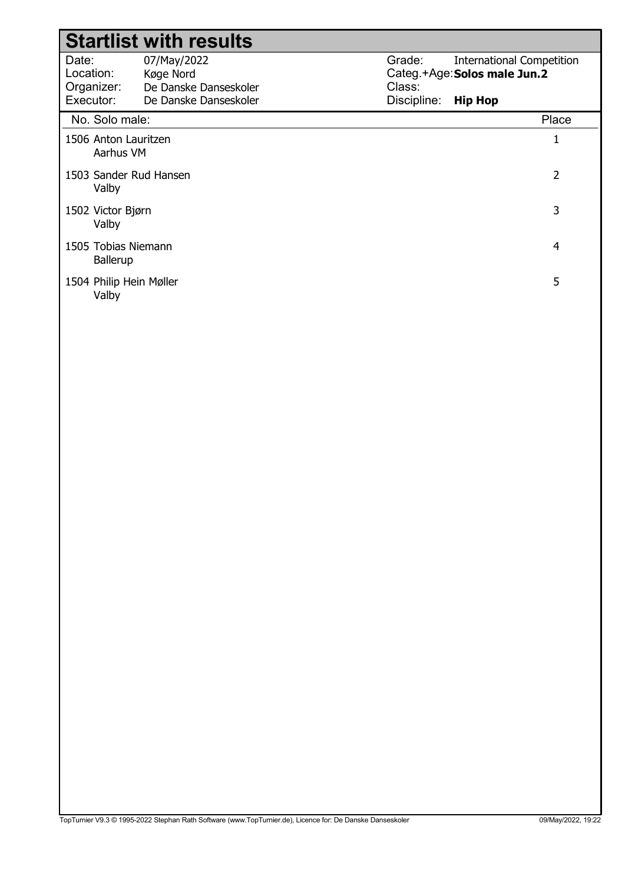### Date: Location: Grade: Categ.+Age: Solos male Jun.2 Class: Discipline: 07/May/2022 Køge Nord International Competition Hip Hop Organizer: Executor: De Danske Danseskoler De Danske Danseskoler Startlist with results No. Solo male: Place 1506 Anton Lauritzen 1 Aarhus VM 1503 Sander Rud Hansen 2 Valby 1502 Victor Bjørn 3 Valby 1505 Tobias Niemann 4 Ballerup 1504 Philip Hein Møller 5

Valby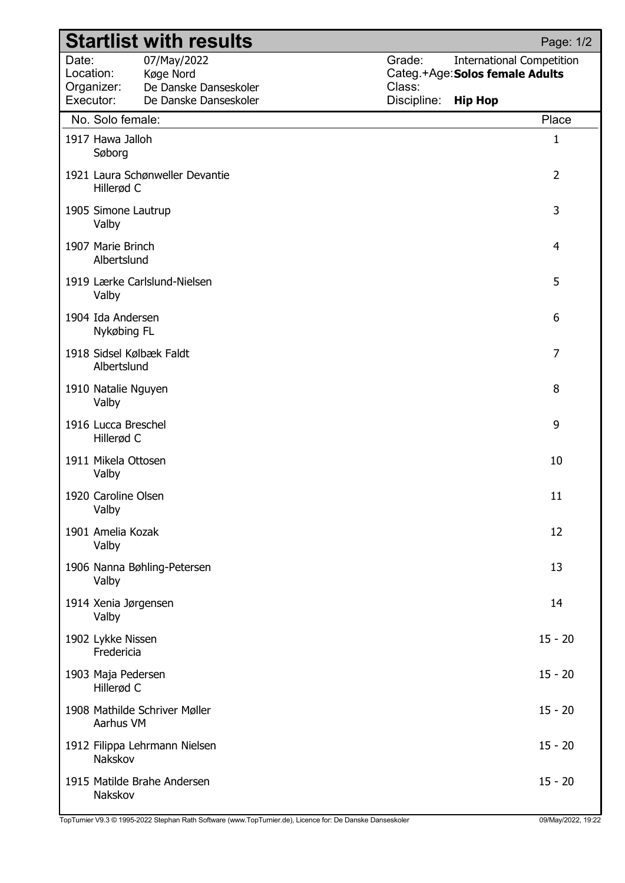|                                               | <b>Startlist with results</b>                                              | Page: 1/2                                                                                                                |
|-----------------------------------------------|----------------------------------------------------------------------------|--------------------------------------------------------------------------------------------------------------------------|
| Date:<br>Location:<br>Organizer:<br>Executor: | 07/May/2022<br>Køge Nord<br>De Danske Danseskoler<br>De Danske Danseskoler | Grade:<br><b>International Competition</b><br>Categ.+Age: Solos female Adults<br>Class:<br>Discipline:<br><b>Hip Hop</b> |
|                                               | No. Solo female:                                                           | Place                                                                                                                    |
|                                               | 1917 Hawa Jalloh<br>Søborg                                                 | 1                                                                                                                        |
|                                               | 1921 Laura Schønweller Devantie<br>Hillerød C                              | $\overline{2}$                                                                                                           |
|                                               | 1905 Simone Lautrup<br>Valby                                               | 3                                                                                                                        |
|                                               | 1907 Marie Brinch<br>Albertslund                                           | $\overline{4}$                                                                                                           |
|                                               | 1919 Lærke Carlslund-Nielsen<br>Valby                                      | 5                                                                                                                        |
|                                               | 1904 Ida Andersen<br>Nykøbing FL                                           | 6                                                                                                                        |
|                                               | 1918 Sidsel Kølbæk Faldt<br>Albertslund                                    | $\overline{7}$                                                                                                           |
|                                               | 1910 Natalie Nguyen<br>Valby                                               | 8                                                                                                                        |
|                                               | 1916 Lucca Breschel<br>Hillerød C                                          | 9                                                                                                                        |
|                                               | 1911 Mikela Ottosen<br>Valby                                               | 10                                                                                                                       |
|                                               | 1920 Caroline Olsen<br>Valby                                               | 11                                                                                                                       |
|                                               | 1901 Amelia Kozak<br>Valby                                                 | 12                                                                                                                       |
|                                               | 1906 Nanna Bøhling-Petersen<br>Valby                                       | 13                                                                                                                       |
|                                               | 1914 Xenia Jørgensen<br>Valby                                              | 14                                                                                                                       |
|                                               | 1902 Lykke Nissen<br>Fredericia                                            | $15 - 20$                                                                                                                |
|                                               | 1903 Maja Pedersen<br>Hillerød C                                           | $15 - 20$                                                                                                                |
|                                               | 1908 Mathilde Schriver Møller<br>Aarhus VM                                 | $15 - 20$                                                                                                                |
|                                               | 1912 Filippa Lehrmann Nielsen<br>Nakskov                                   | $15 - 20$                                                                                                                |
|                                               | 1915 Matilde Brahe Andersen<br>Nakskov                                     | $15 - 20$                                                                                                                |

TopTurnier V9.3 © 1995-2022 Stephan Rath Software (www.TopTurnier.de), Licence for: De Danske Danseskoler 09/May/2022, 19:22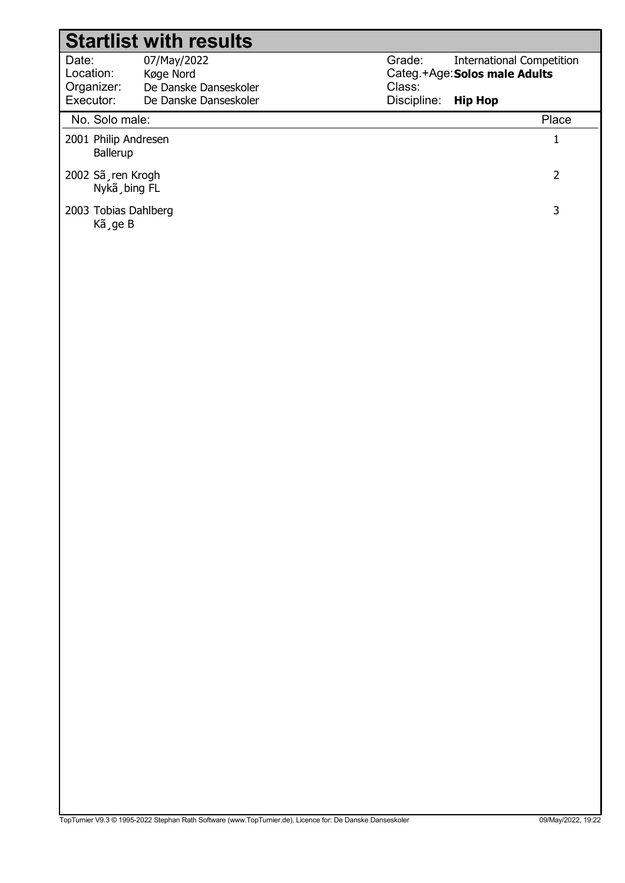#### Date: Location: Grade: Categ.+Age: Solos male Adults Class: Discipline: 07/May/2022 Køge Nord International Competition Hip Hop Organizer: Executor: De Danske Danseskoler De Danske Danseskoler Startlist with results No. Solo male: Place 2001 Philip Andresen 1 Ballerup 2002 Sã¸ren Krogh 2 Nykã¸bing FL 2003 Tobias Dahlberg 3 Kã¸ge B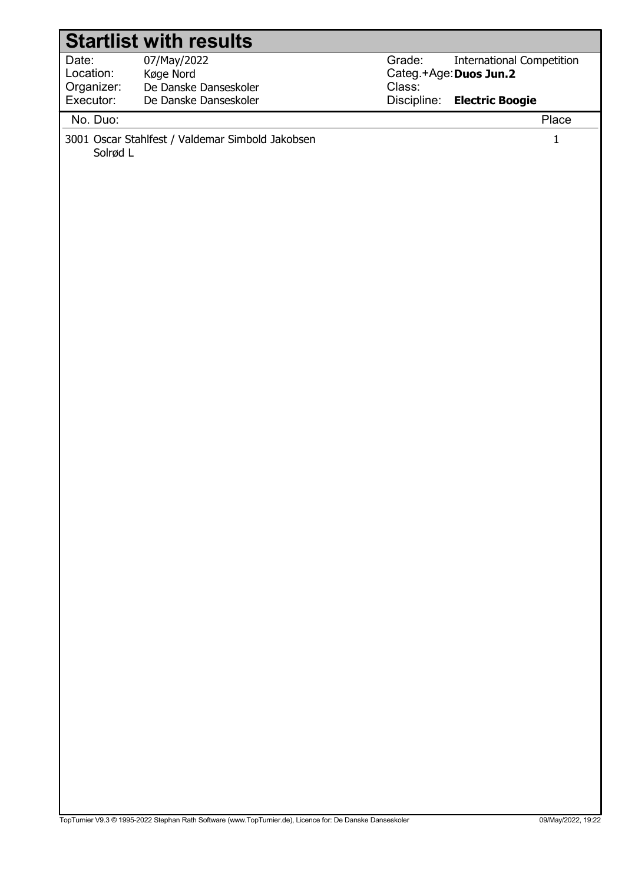|                       | <b>Startlist with results</b>                                             |                                                       |
|-----------------------|---------------------------------------------------------------------------|-------------------------------------------------------|
| Date:                 | 07/May/2022                                                               | Grade:<br><b>International Competition</b>            |
| Location:             | Køge Nord                                                                 | Categ.+Age: Duos Jun.2                                |
| Organizer:            | De Danske Danseskoler                                                     | Class:                                                |
|                       |                                                                           |                                                       |
| No. Duo:              |                                                                           | Place                                                 |
| Executor:<br>Solrød L | De Danske Danseskoler<br>3001 Oscar Stahlfest / Valdemar Simbold Jakobsen | Discipline:<br><b>Electric Boogie</b><br>$\mathbf{1}$ |
|                       |                                                                           |                                                       |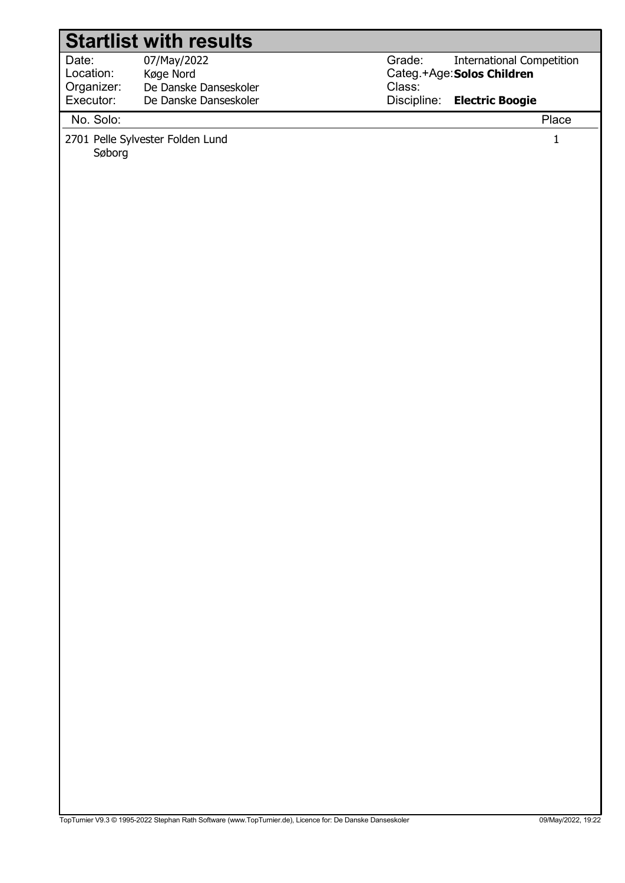|                         | <b>Startlist with results</b>                  |                  |                                                                |              |
|-------------------------|------------------------------------------------|------------------|----------------------------------------------------------------|--------------|
| Date:<br>Location:      | 07/May/2022<br>Køge Nord                       | Grade:<br>Class: | <b>International Competition</b><br>Categ.+Age: Solos Children |              |
| Organizer:<br>Executor: | De Danske Danseskoler<br>De Danske Danseskoler | Discipline:      | <b>Electric Boogie</b>                                         |              |
| No. Solo:               |                                                |                  |                                                                | Place        |
| Søborg                  | 2701 Pelle Sylvester Folden Lund               |                  |                                                                | $\mathbf{1}$ |
|                         |                                                |                  |                                                                |              |
|                         |                                                |                  |                                                                |              |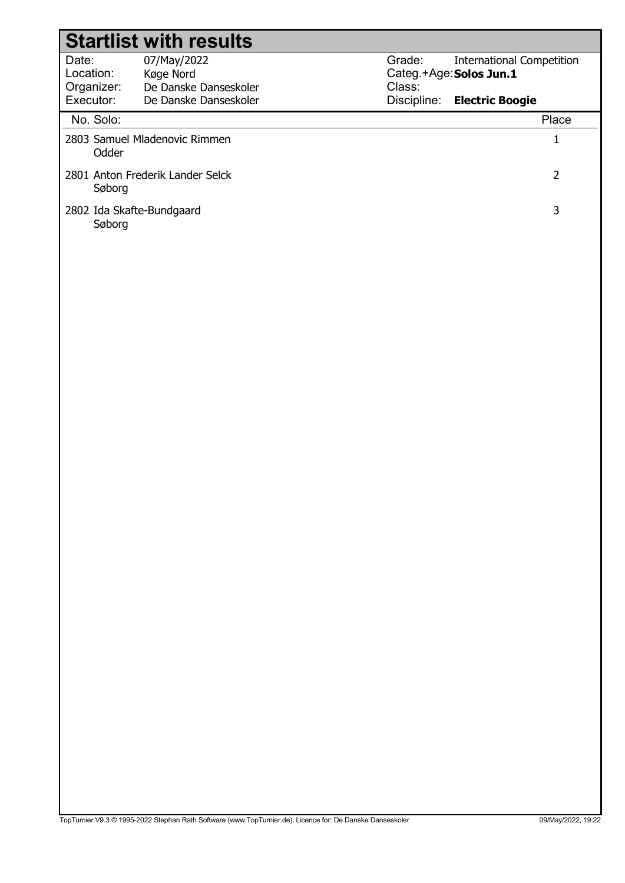| <b>Startlist with results</b>       |                                  |             |                                  |  |  |  |  |
|-------------------------------------|----------------------------------|-------------|----------------------------------|--|--|--|--|
| Date:                               | 07/May/2022                      | Grade:      | <b>International Competition</b> |  |  |  |  |
| Location:                           | Køge Nord                        |             | Categ.+Age: Solos Jun.1          |  |  |  |  |
| Organizer:                          | De Danske Danseskoler            | Class:      |                                  |  |  |  |  |
| Executor:                           | De Danske Danseskoler            | Discipline: | <b>Electric Boogie</b>           |  |  |  |  |
| No. Solo:                           |                                  |             | Place                            |  |  |  |  |
| Odder                               | 2803 Samuel Mladenovic Rimmen    |             | 1                                |  |  |  |  |
| Søborg                              | 2801 Anton Frederik Lander Selck |             | 2                                |  |  |  |  |
| 2802 Ida Skafte-Bundgaard<br>Søborg |                                  |             | 3                                |  |  |  |  |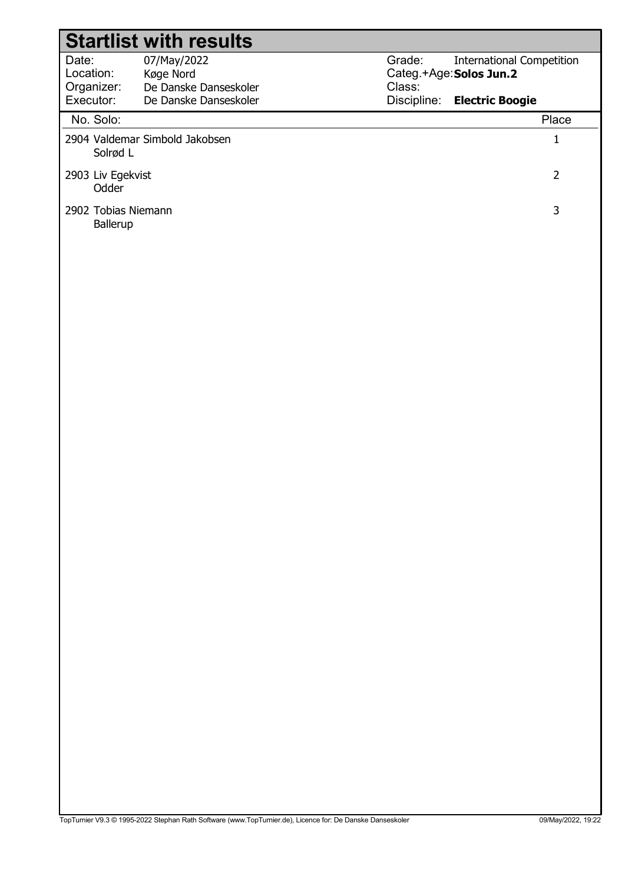|                                  | <b>Startlist with results</b>                     |                  |                                                             |
|----------------------------------|---------------------------------------------------|------------------|-------------------------------------------------------------|
| Date:<br>Location:<br>Organizer: | 07/May/2022<br>Køge Nord<br>De Danske Danseskoler | Grade:<br>Class: | <b>International Competition</b><br>Categ.+Age: Solos Jun.2 |
| Executor:                        | De Danske Danseskoler                             | Discipline:      | <b>Electric Boogie</b>                                      |
| No. Solo:                        |                                                   |                  | Place                                                       |
| Solrød L                         | 2904 Valdemar Simbold Jakobsen                    |                  | $\mathbf{1}$                                                |
| 2903 Liv Egekvist<br>Odder       |                                                   |                  | $\overline{2}$                                              |
| 2902 Tobias Niemann<br>Ballerup  |                                                   |                  | 3                                                           |
|                                  |                                                   |                  |                                                             |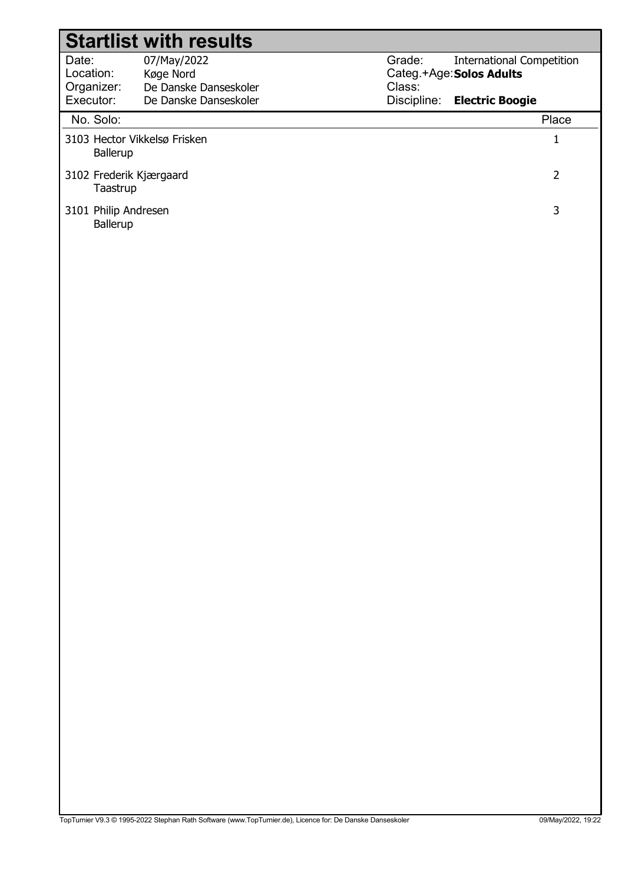| <b>Startlist with results</b>            |                       |             |                                  |  |  |  |  |
|------------------------------------------|-----------------------|-------------|----------------------------------|--|--|--|--|
| Date:                                    | 07/May/2022           | Grade:      | <b>International Competition</b> |  |  |  |  |
| Location:                                | Køge Nord             |             | Categ.+Age: Solos Adults         |  |  |  |  |
| Organizer:                               | De Danske Danseskoler | Class:      |                                  |  |  |  |  |
| Executor:                                | De Danske Danseskoler | Discipline: | <b>Electric Boogie</b>           |  |  |  |  |
| No. Solo:                                |                       |             | Place                            |  |  |  |  |
| 3103 Hector Vikkelsø Frisken<br>Ballerup |                       |             |                                  |  |  |  |  |
| 3102 Frederik Kjærgaard<br>Taastrup      |                       |             | 2                                |  |  |  |  |
| 3101 Philip Andresen<br>Ballerup         |                       |             | 3                                |  |  |  |  |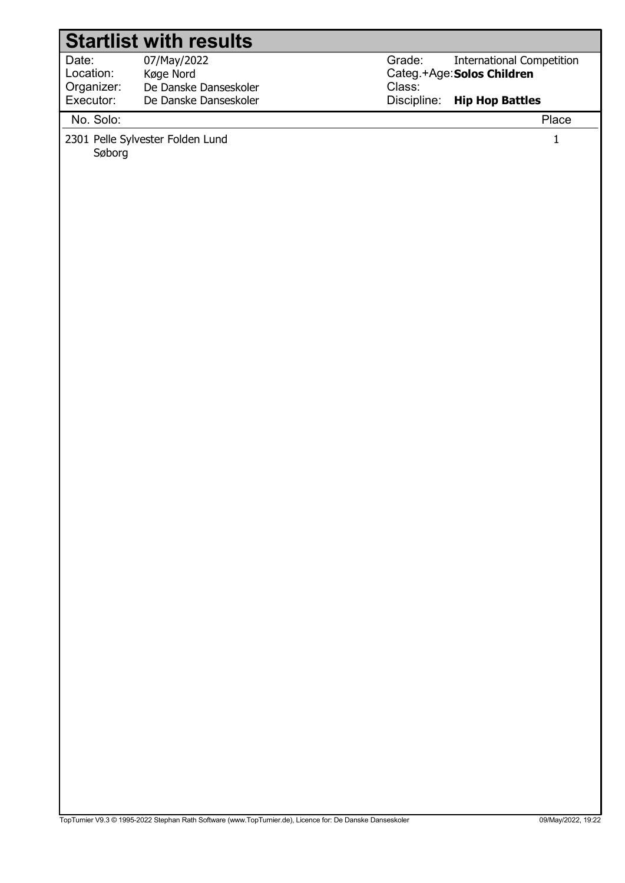|                                  | <b>Startlist with results</b>                             |                  |                                                                |
|----------------------------------|-----------------------------------------------------------|------------------|----------------------------------------------------------------|
| Date:<br>Location:<br>Organizer: | 07/May/2022<br>Køge Nord<br>De Danske Danseskoler         | Grade:<br>Class: | <b>International Competition</b><br>Categ.+Age: Solos Children |
|                                  |                                                           |                  |                                                                |
|                                  |                                                           |                  |                                                                |
| Executor:<br>No. Solo:<br>Søborg | De Danske Danseskoler<br>2301 Pelle Sylvester Folden Lund | Discipline:      | <b>Hip Hop Battles</b><br>Place<br>$\mathbf{1}$                |
|                                  |                                                           |                  |                                                                |
|                                  |                                                           |                  |                                                                |
|                                  |                                                           |                  |                                                                |
|                                  |                                                           |                  |                                                                |
|                                  |                                                           |                  |                                                                |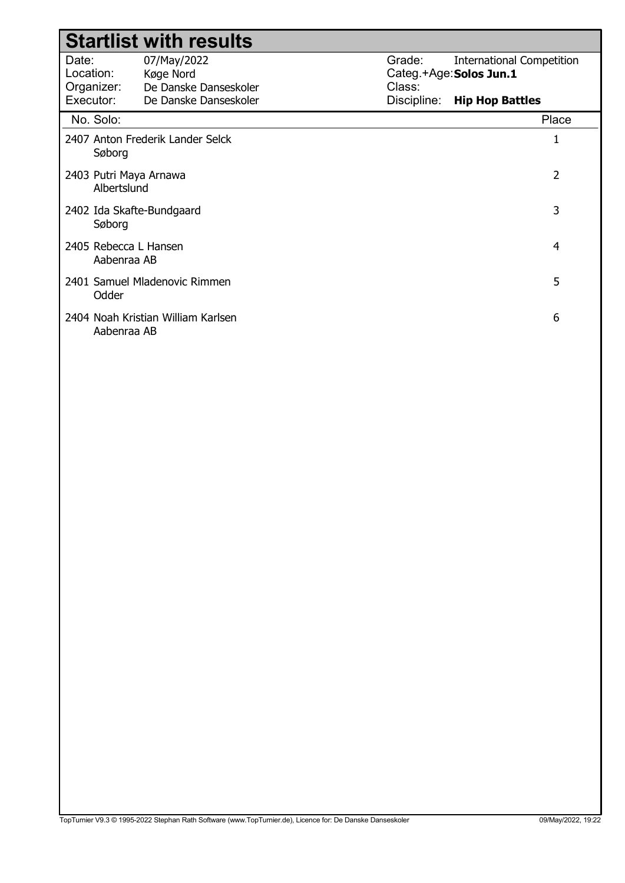|                                       | <b>Startlist with results</b>                     |                                                                                 |
|---------------------------------------|---------------------------------------------------|---------------------------------------------------------------------------------|
| Date:<br>Location:<br>Organizer:      | 07/May/2022<br>Køge Nord<br>De Danske Danseskoler | Grade:<br><b>International Competition</b><br>Categ.+Age: Solos Jun.1<br>Class: |
| Executor:                             | De Danske Danseskoler                             | Discipline: Hip Hop Battles                                                     |
| No. Solo:                             |                                                   | Place                                                                           |
| Søborg                                | 2407 Anton Frederik Lander Selck                  | 1                                                                               |
| 2403 Putri Maya Arnawa<br>Albertslund |                                                   | 2                                                                               |
| Søborg                                | 2402 Ida Skafte-Bundgaard                         | 3                                                                               |
| 2405 Rebecca L Hansen<br>Aabenraa AB  |                                                   | 4                                                                               |
| Odder                                 | 2401 Samuel Mladenovic Rimmen                     | 5                                                                               |
| Aabenraa AB                           | 2404 Noah Kristian William Karlsen                | 6                                                                               |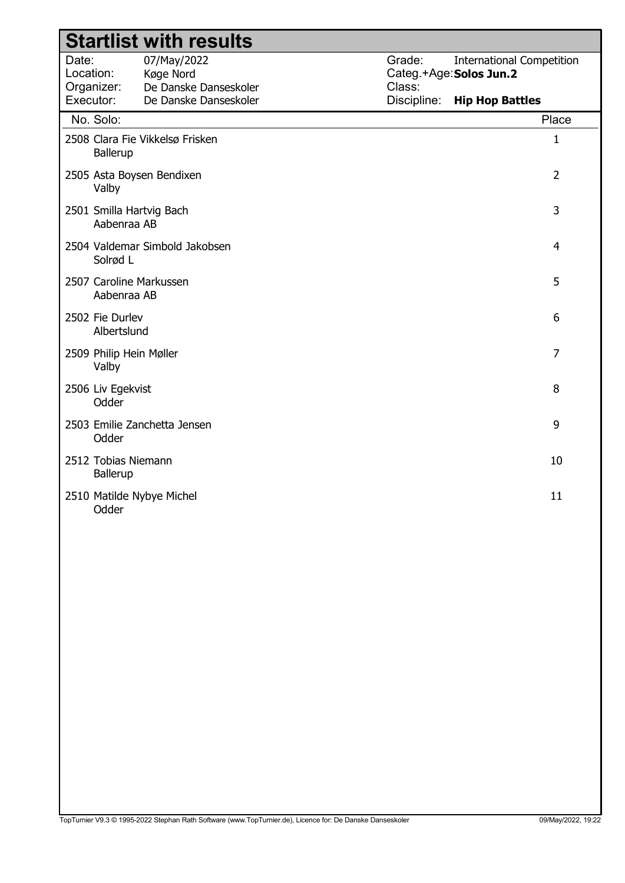| <b>Startlist with results</b>           |                                                   |                  |                                                             |  |  |  |
|-----------------------------------------|---------------------------------------------------|------------------|-------------------------------------------------------------|--|--|--|
| Date:<br>Location:<br>Organizer:        | 07/May/2022<br>Køge Nord<br>De Danske Danseskoler | Grade:<br>Class: | <b>International Competition</b><br>Categ.+Age: Solos Jun.2 |  |  |  |
| Executor:                               | De Danske Danseskoler                             | Discipline:      | <b>Hip Hop Battles</b>                                      |  |  |  |
| No. Solo:                               |                                                   |                  | Place                                                       |  |  |  |
| Ballerup                                | 2508 Clara Fie Vikkelsø Frisken                   |                  | $\mathbf{1}$                                                |  |  |  |
| 2505 Asta Boysen Bendixen<br>Valby      |                                                   |                  | $\overline{2}$                                              |  |  |  |
| 2501 Smilla Hartvig Bach<br>Aabenraa AB |                                                   |                  | 3                                                           |  |  |  |
| Solrød L                                | 2504 Valdemar Simbold Jakobsen                    |                  | $\overline{4}$                                              |  |  |  |
| 2507 Caroline Markussen<br>Aabenraa AB  |                                                   |                  | 5                                                           |  |  |  |
| 2502 Fie Durlev<br>Albertslund          |                                                   |                  | 6                                                           |  |  |  |
| 2509 Philip Hein Møller<br>Valby        |                                                   |                  | $\overline{7}$                                              |  |  |  |
| 2506 Liv Egekvist<br>Odder              |                                                   |                  | 8                                                           |  |  |  |
| Odder                                   | 2503 Emilie Zanchetta Jensen                      |                  | 9                                                           |  |  |  |
| 2512 Tobias Niemann<br>Ballerup         |                                                   |                  | 10                                                          |  |  |  |
| 2510 Matilde Nybye Michel<br>Odder      |                                                   |                  | 11                                                          |  |  |  |